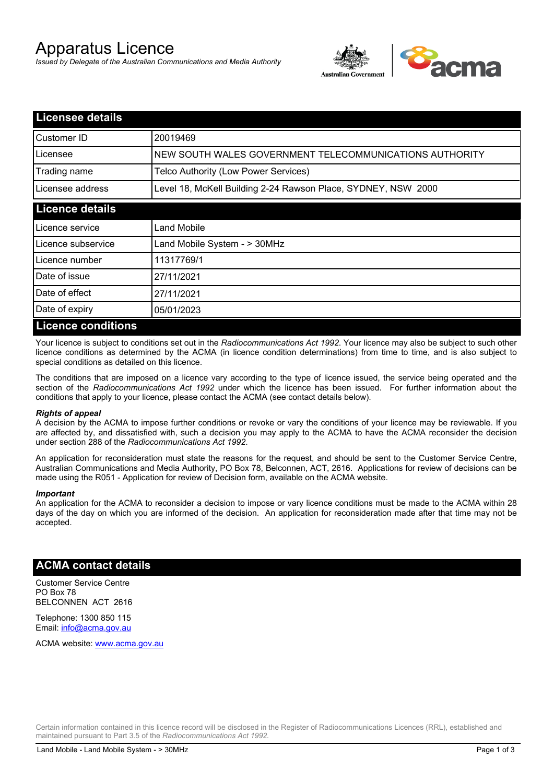# Apparatus Licence

*Issued by Delegate of the Australian Communications and Media Authority*



| <b>Licensee details</b>   |                                                               |
|---------------------------|---------------------------------------------------------------|
| Customer ID               | 20019469                                                      |
| Licensee                  | NEW SOUTH WALES GOVERNMENT TELECOMMUNICATIONS AUTHORITY       |
| Trading name              | Telco Authority (Low Power Services)                          |
| Licensee address          | Level 18, McKell Building 2-24 Rawson Place, SYDNEY, NSW 2000 |
| <b>Licence details</b>    |                                                               |
| l Licence service         | Land Mobile                                                   |
| Licence subservice        | Land Mobile System - > 30MHz                                  |
| Licence number            | 11317769/1                                                    |
| Date of issue             | 27/11/2021                                                    |
| Date of effect            | 27/11/2021                                                    |
| Date of expiry            | 05/01/2023                                                    |
| <b>Licence conditions</b> |                                                               |

Your licence is subject to conditions set out in the *Radiocommunications Act 1992*. Your licence may also be subject to such other licence conditions as determined by the ACMA (in licence condition determinations) from time to time, and is also subject to special conditions as detailed on this licence.

The conditions that are imposed on a licence vary according to the type of licence issued, the service being operated and the section of the *Radiocommunications Act 1992* under which the licence has been issued. For further information about the conditions that apply to your licence, please contact the ACMA (see contact details below).

### *Rights of appeal*

A decision by the ACMA to impose further conditions or revoke or vary the conditions of your licence may be reviewable. If you are affected by, and dissatisfied with, such a decision you may apply to the ACMA to have the ACMA reconsider the decision under section 288 of the *Radiocommunications Act 1992*.

An application for reconsideration must state the reasons for the request, and should be sent to the Customer Service Centre, Australian Communications and Media Authority, PO Box 78, Belconnen, ACT, 2616. Applications for review of decisions can be made using the R051 - Application for review of Decision form, available on the ACMA website.

#### *Important*

An application for the ACMA to reconsider a decision to impose or vary licence conditions must be made to the ACMA within 28 days of the day on which you are informed of the decision. An application for reconsideration made after that time may not be accepted.

### **ACMA contact details**

Customer Service Centre PO Box 78 BELCONNEN ACT 2616

Telephone: 1300 850 115 Email: info@acma.gov.au

ACMA website: www.acma.gov.au

Certain information contained in this licence record will be disclosed in the Register of Radiocommunications Licences (RRL), established and maintained pursuant to Part 3.5 of the *Radiocommunications Act 1992.*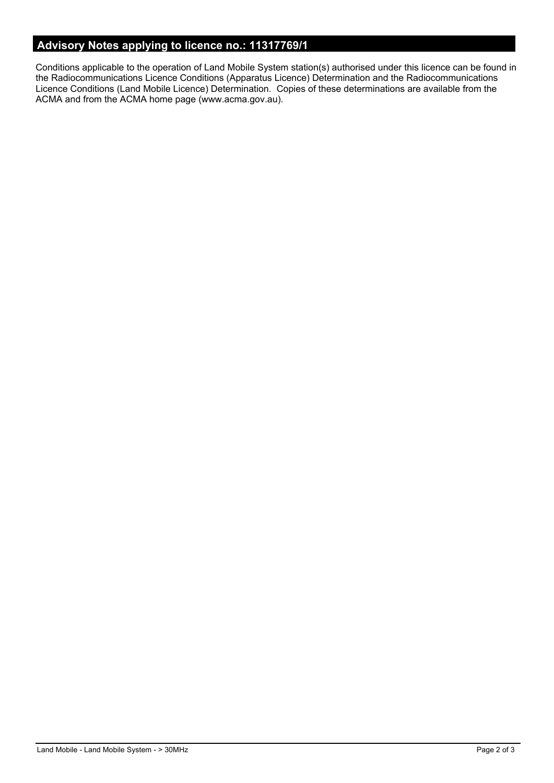# **Advisory Notes applying to licence no.: 11317769/1**

Conditions applicable to the operation of Land Mobile System station(s) authorised under this licence can be found in the Radiocommunications Licence Conditions (Apparatus Licence) Determination and the Radiocommunications Licence Conditions (Land Mobile Licence) Determination. Copies of these determinations are available from the ACMA and from the ACMA home page (www.acma.gov.au).